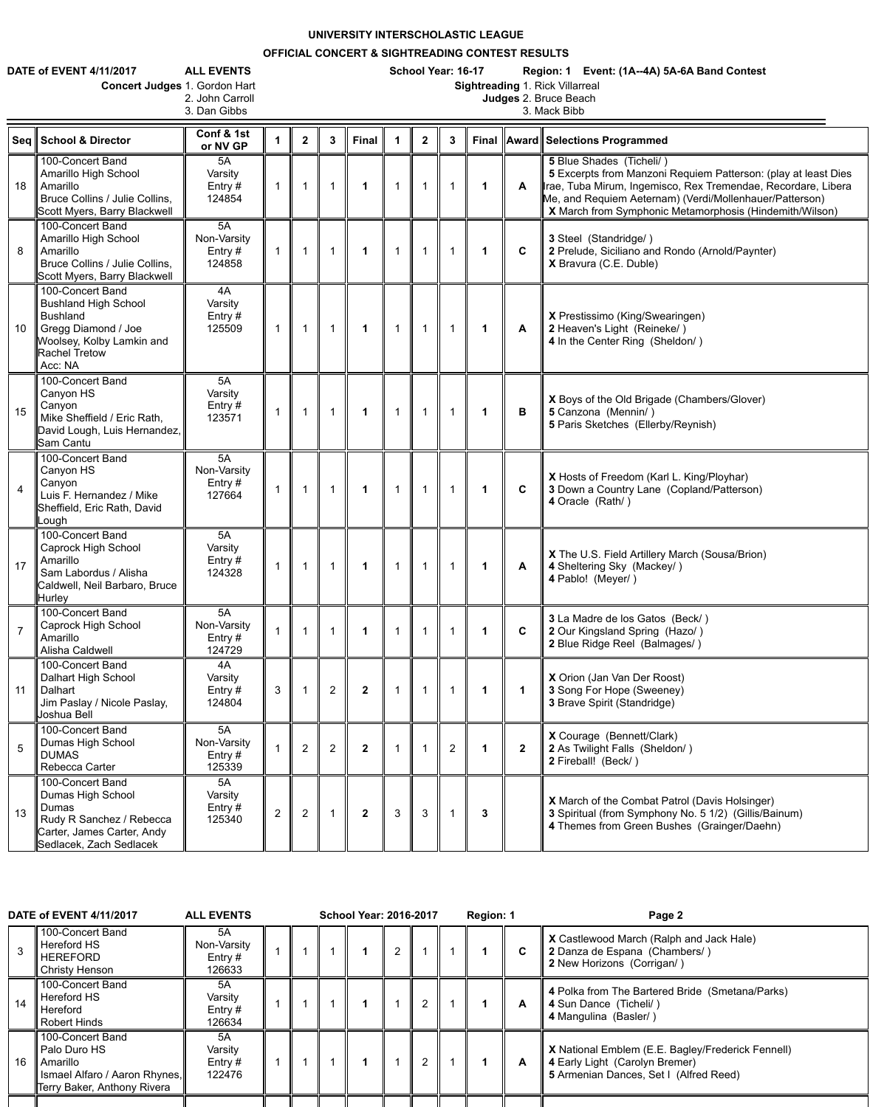**UNIVERSITY INTERSCHOLASTIC LEAGUE**

**OFFICIAL CONCERT & SIGHTREADING CONTEST RESULTS**

|                 | <b>DATE of EVENT 4/11/2017</b><br><b>ALL EVENTS</b><br>Concert Judges 1. Gordon Hart<br>2. John Carroll                                                   | School Year: 16-17<br>Region: 1 Event: (1A--4A) 5A-6A Band Contest<br><b>Sightreading 1. Rick Villarreal</b><br>Judges 2. Bruce Beach<br>3. Mack Bibb |                |                      |                |                      |             |              |   |                      |              |                                                                                                                                                                                                                                                                                   |
|-----------------|-----------------------------------------------------------------------------------------------------------------------------------------------------------|-------------------------------------------------------------------------------------------------------------------------------------------------------|----------------|----------------------|----------------|----------------------|-------------|--------------|---|----------------------|--------------|-----------------------------------------------------------------------------------------------------------------------------------------------------------------------------------------------------------------------------------------------------------------------------------|
|                 | Seq School & Director                                                                                                                                     | 3. Dan Gibbs<br>Conf & 1st<br>or NV GP                                                                                                                |                | $\mathbf{2}$         | $\mathbf{3}$   | <b>Final</b>         |             | $\mathbf{2}$ | 3 |                      |              | Final    Award    Selections Programmed                                                                                                                                                                                                                                           |
| 18              | 100-Concert Band<br>Amarillo High School<br><b>Amarillo</b><br>Bruce Collins / Julie Collins,<br>Scott Myers, Barry Blackwell                             | 5A<br>Varsity<br>Entry $#$<br>124854                                                                                                                  |                |                      |                | 1                    | $\mathbf 1$ |              |   | $\mathbf 1$          | $\mathbf{A}$ | 5 Blue Shades (Ticheli/)<br>5 Excerpts from Manzoni Requiem Patterson: (play at least Dies<br>Irae, Tuba Mirum, Ingemisco, Rex Tremendae, Recordare, Libera<br>Me, and Requiem Aeternam) (Verdi/Mollenhauer/Patterson)<br>X March from Symphonic Metamorphosis (Hindemith/Wilson) |
| 8               | 100-Concert Band<br>Amarillo High School<br>Amarillo<br>Bruce Collins / Julie Collins,<br>Scott Myers, Barry Blackwell                                    | 5A<br>Non-Varsity<br>Entry $#$<br>124858                                                                                                              |                | $\blacktriangleleft$ |                | 1                    |             |              |   | -1                   | $\mathbf C$  | 3 Steel (Standridge/)<br>2 Prelude, Siciliano and Rondo (Arnold/Paynter)<br>X Bravura (C.E. Duble)                                                                                                                                                                                |
| 10 <sup>°</sup> | 100-Concert Band<br><b>Bushland High School</b><br><b>Bushland</b><br>Gregg Diamond / Joe<br>Woolsey, Kolby Lamkin and<br><b>Rachel Tretow</b><br>Acc: NA | 4A<br>Varsity<br>Entry $#$<br>125509                                                                                                                  |                |                      |                | 1                    |             |              |   | $\mathbf 1$          | $\mathsf{A}$ | X Prestissimo (King/Swearingen)<br>2 Heaven's Light (Reineke/)<br>4 In the Center Ring (Sheldon/)                                                                                                                                                                                 |
| 15              | 100-Concert Band<br>Canyon HS<br>Canyon<br>Mike Sheffield / Eric Rath,<br>David Lough, Luis Hernandez,<br><b>Sam Cantu</b>                                | 5A<br>Varsity<br>Entry $#$<br>123571                                                                                                                  |                |                      |                | 1                    | 1           |              |   | -1                   | B            | X Boys of the Old Brigade (Chambers/Glover)<br>5 Canzona (Mennin/)<br>5 Paris Sketches (Ellerby/Reynish)                                                                                                                                                                          |
| $\overline{4}$  | 100-Concert Band<br>Canyon HS<br>Canyon<br>Luis F. Hernandez / Mike<br>Sheffield, Eric Rath, David<br>Lough                                               | 5A<br>Non-Varsity<br>Entry $#$<br>127664                                                                                                              |                |                      |                | $\blacktriangleleft$ |             |              |   | $\blacktriangleleft$ | $\mathbf C$  | X Hosts of Freedom (Karl L. King/Ployhar)<br>3 Down a Country Lane (Copland/Patterson)<br>4 Oracle (Rath/)                                                                                                                                                                        |
| 17              | 100-Concert Band<br>Caprock High School<br>Amarillo<br>Sam Labordus / Alisha<br>Caldwell, Neil Barbaro, Bruce<br><b>Hurley</b>                            | 5A<br>Varsity<br>Entry #<br>124328                                                                                                                    |                |                      |                |                      |             |              |   | -1                   | A            | X The U.S. Field Artillery March (Sousa/Brion)<br>4 Sheltering Sky (Mackey/)<br>4 Pablo! (Meyer/)                                                                                                                                                                                 |
|                 | 100-Concert Band<br>Caprock High School<br>Amarillo<br>Alisha Caldwell                                                                                    | 5A<br>Non-Varsity<br>Entry $#$<br>124729                                                                                                              |                |                      |                |                      |             |              |   |                      | $\mathbf{C}$ | 3 La Madre de los Gatos (Beck/)<br>2 Our Kingsland Spring (Hazo/)<br>2 Blue Ridge Reel (Balmages/)                                                                                                                                                                                |
| 11              | 100-Concert Band<br>Dalhart High School<br>Dalhart<br>Jim Paslay / Nicole Paslay,<br>Joshua Bell                                                          | 4A<br>Varsity<br>Entry $#$<br>124804                                                                                                                  | $\mathfrak{S}$ |                      | $\overline{2}$ | $\mathbf{2}$         |             |              |   |                      |              | X Orion (Jan Van Der Roost)<br>3 Song For Hope (Sweeney)<br><b>3 Brave Spirit (Standridge)</b>                                                                                                                                                                                    |
| 5               | 100-Concert Band<br>Dumas High School<br><b>DUMAS</b><br>Rebecca Carter                                                                                   | 5A<br>Non-Varsity<br>Entry #<br>125339                                                                                                                |                | $\overline{2}$       | $\overline{2}$ | $\mathbf{2}$         |             |              | 2 | $\mathbf 1$          | $\mathbf{2}$ | X Courage (Bennett/Clark)<br>2 As Twilight Falls (Sheldon/)<br>2 Fireball! (Beck/)                                                                                                                                                                                                |
| 13              | 100-Concert Band<br>Dumas High School<br>Dumas<br>Rudy R Sanchez / Rebecca<br>Carter, James Carter, Andy<br>Sedlacek, Zach Sedlacek                       | 5A<br>Varsity<br>Entry $#$<br>125340                                                                                                                  | $\overline{2}$ | $\overline{2}$       |                | $\mathbf{2}$         | 3           | 3            |   | 3                    |              | <b>X</b> March of the Combat Patrol (Davis Holsinger)<br>3 Spiritual (from Symphony No. 5 1/2) (Gillis/Bainum)<br>4 Themes from Green Bushes (Grainger/Daehn)                                                                                                                     |

| <b>DATE of EVENT 4/11/2017</b><br><b>ALL EVENTS</b> |    |                                                                                                                     | <b>School Year: 2016-2017</b>            |  |  |  |  |  |                | Region: 1 |  | Page 2 |                                                                                                                               |
|-----------------------------------------------------|----|---------------------------------------------------------------------------------------------------------------------|------------------------------------------|--|--|--|--|--|----------------|-----------|--|--------|-------------------------------------------------------------------------------------------------------------------------------|
|                                                     | 3  | 100-Concert Band<br>Hereford HS<br><b>HEREFORD</b><br><b>Christy Henson</b>                                         | 5A<br>Non-Varsity<br>Entry $#$<br>126633 |  |  |  |  |  |                |           |  | C.     | X Castlewood March (Ralph and Jack Hale)<br>2 Danza de Espana (Chambers/)<br>2 New Horizons (Corrigan/)                       |
|                                                     | 14 | 100-Concert Band<br><b>Hereford HS</b><br>Hereford<br><b>Robert Hinds</b>                                           | 5A<br>Varsity<br>Entry $#$<br>126634     |  |  |  |  |  |                |           |  | A      | 4 Polka from The Bartered Bride (Smetana/Parks)<br>4 Sun Dance (Ticheli/)<br>4 Mangulina (Basler/)                            |
|                                                     | 16 | 100-Concert Band<br>Palo Duro HS<br><b>Amarillo</b><br>Ismael Alfaro / Aaron Rhynes,<br>Terry Baker, Anthony Rivera | 5A<br>Varsity<br>Entry $#$<br>122476     |  |  |  |  |  | $\overline{2}$ |           |  | A      | X National Emblem (E.E. Bagley/Frederick Fennell)<br>4 Early Light (Carolyn Bremer)<br>5 Armenian Dances, Set I (Alfred Reed) |
|                                                     |    |                                                                                                                     |                                          |  |  |  |  |  |                |           |  |        |                                                                                                                               |